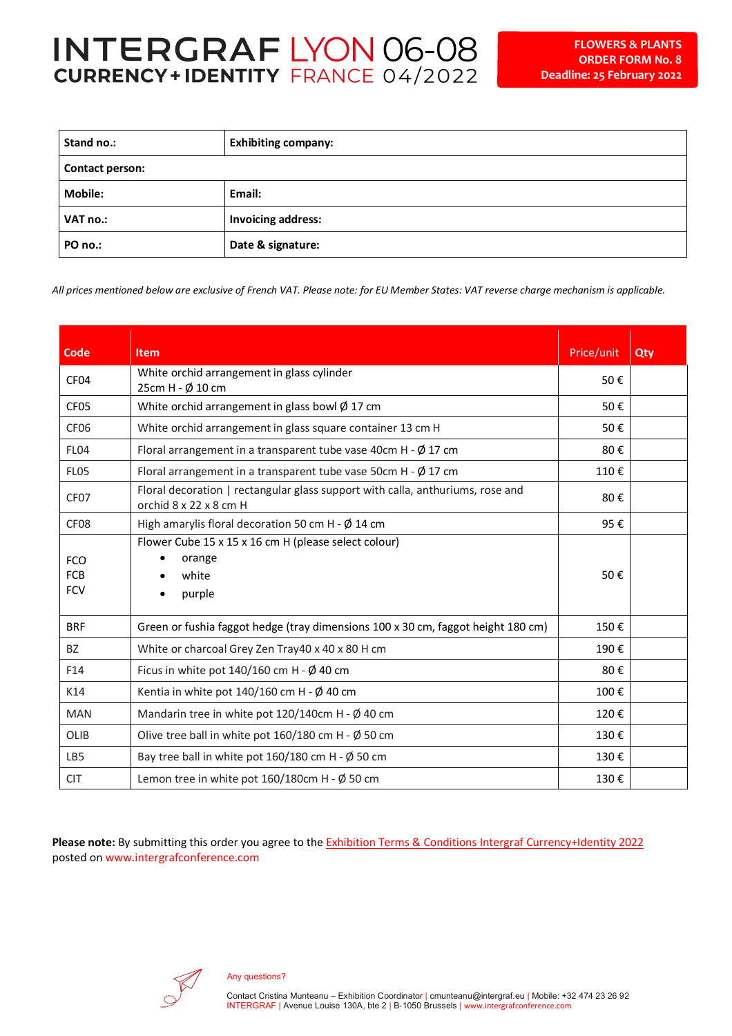| Stand no.:      | <b>Exhibiting company:</b> |  |
|-----------------|----------------------------|--|
| Contact person: |                            |  |
| <b>Mobile:</b>  | Email:                     |  |
| VAT no.:        | <b>Invoicing address:</b>  |  |
| PO no.:         | Date & signature:          |  |

*All prices mentioned below are exclusive of French VAT. Please note: for EU Member States: VAT reverse charge mechanism is applicable.* 

| Code                                   | <b>Item</b>                                                                                              | Price/unit | Qty |
|----------------------------------------|----------------------------------------------------------------------------------------------------------|------------|-----|
| CF <sub>04</sub>                       | White orchid arrangement in glass cylinder<br>25cm H - Ø 10 cm                                           | 50€        |     |
| CF <sub>05</sub>                       | White orchid arrangement in glass bowl $\emptyset$ 17 cm                                                 |            |     |
| CF <sub>06</sub>                       | White orchid arrangement in glass square container 13 cm H                                               | 50€        |     |
| FL04                                   | Floral arrangement in a transparent tube vase 40cm H - $\emptyset$ 17 cm                                 | 80€        |     |
| <b>FL05</b>                            | Floral arrangement in a transparent tube vase 50cm H - $\emptyset$ 17 cm                                 | 110€       |     |
| CF <sub>07</sub>                       | Floral decoration   rectangular glass support with calla, anthuriums, rose and<br>orchid 8 x 22 x 8 cm H | 80€        |     |
| CF <sub>08</sub>                       | High amarylis floral decoration 50 cm H - $\emptyset$ 14 cm                                              | 95€        |     |
| <b>FCO</b><br><b>FCB</b><br><b>FCV</b> | Flower Cube 15 x 15 x 16 cm H (please select colour)<br>orange<br>white<br>purple                        | 50€        |     |
| <b>BRF</b>                             | Green or fushia faggot hedge (tray dimensions 100 x 30 cm, faggot height 180 cm)                         | 150€       |     |
| <b>BZ</b>                              | White or charcoal Grey Zen Tray40 x 40 x 80 H cm                                                         | 190€       |     |
| F14                                    | Ficus in white pot $140/160$ cm H - $\emptyset$ 40 cm                                                    | 80€        |     |
| K14                                    | Kentia in white pot $140/160$ cm H - $\emptyset$ 40 cm                                                   | 100€       |     |
| <b>MAN</b>                             | Mandarin tree in white pot $120/140$ cm H - Ø 40 cm                                                      | 120€       |     |
| OLIB                                   | Olive tree ball in white pot $160/180$ cm H - $\emptyset$ 50 cm                                          | 130€       |     |
| LB5                                    | Bay tree ball in white pot $160/180$ cm H - $\emptyset$ 50 cm                                            | 130€       |     |
| <b>CIT</b>                             | Lemon tree in white pot $160/180$ cm H - Ø 50 cm                                                         | 130€       |     |

**Please note:** By submitting this order you agree to the Exhibition Terms & Conditions Intergraf Currency+Identity 2022 posted on www.intergrafconference.com

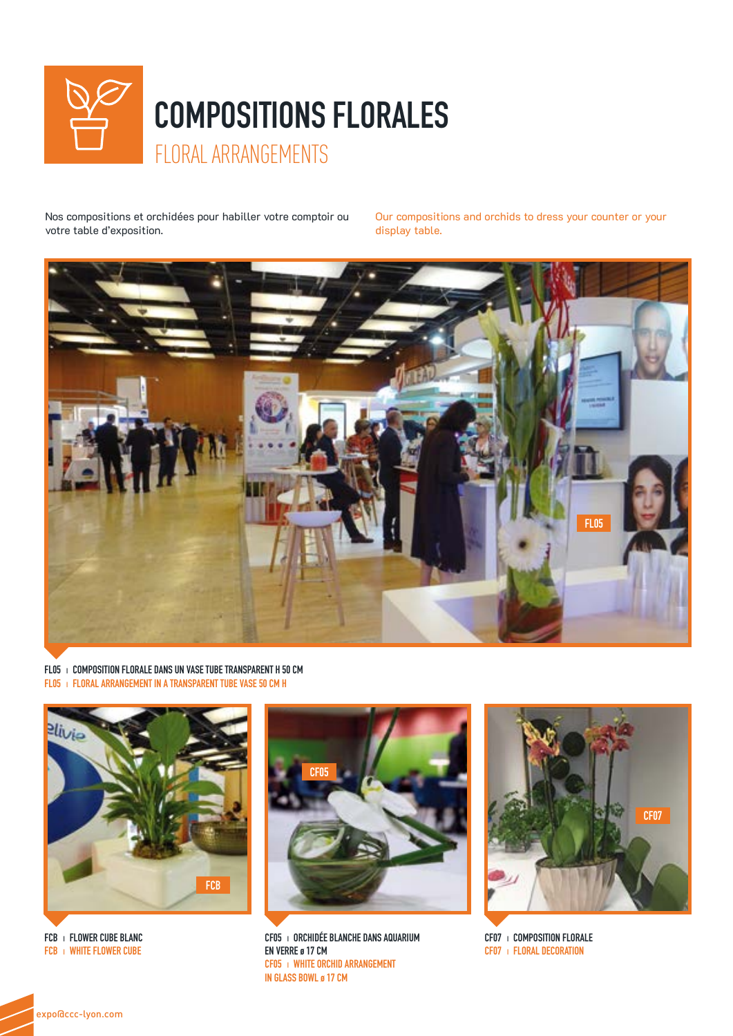

Nos compositions et orchidées pour habiller votre comptoir ou votre table d'exposition.

Our compositions and orchids to dress your counter or your display table.



FL05 | COMPOSITION FLORALE DANS UN VASE TUBE TRANSPARENT H 50 CM FL05 I FLORAL ARRANGEMENT IN A TRANSPARENT TUBE VASE 50 CM H



FCB | FLOWER CUBE BLANC FCB | WHITE FLOWER CUBE



CF05 | ORCHIDÉE BLANCHE DANS AQUARIUM EN VERRE ø 17 CM CF05 | WHITE ORCHID ARRANGEMENT IN GLASS BOWL ø 17 CM



CF07 | COMPOSITION FLORALE CF07 | FLORAL DECORATION